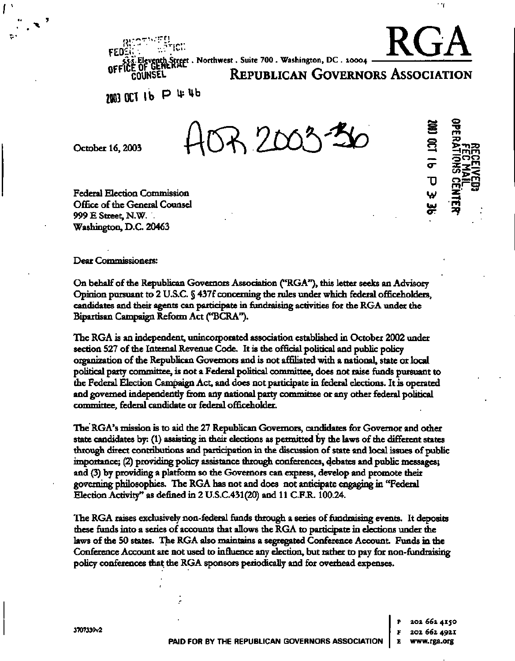**••• ivi -** RGA **M-i.Eleventh-Street. Northwest. Suite 700 . Washington, DC . 20004** 

**CE OF GENERAL REPUBLICAN GOVERNORS ASSOCIATION** 

**1003 OH lb P^ <sup>b</sup>**

**rji.-" ~ •'• :• n I \ I • •\* • •n-ir "** 

**0F**

October 16, 2003 **ACR** 20

**Federal Election Commission Office of the General Counsel 999 E Street, N.W. Washington, D.C. 20463** 

**Dear Commissioners:** 

**On behalf of the Republican Governors Association ("RGA"), this letter seeks an Advisory Opinion pursuant to 2 U.S.C. § 437f concerning the rules under which federal officeholders, candidates and their agents can participate in fundraising activities for the RGA under the Bipartisan Campaign Reform Act ("BCRA").** 

**The RGA is an independent, unincorporated association established in October 2002 under section 527 of the Internal Revenue Code. It is the official political and public policy organization of the Republican Governors and is not affiliated with a national, state or local political party committee, is not a Federal political committee, does not raise funds pursuant to the Federal Election Campaign Act, and does not participate in federal elections. It is operated and governed independently from any national party committee or any other federal political committee, federal candidate or federal officeholder.** 

**The RGA's mission is to aid the 27 Republican Governors, candidates for Governor and other state candidates by: (1) assisting in their elections as permitted by the laws of the different states through direct contributions and participation in the discussion of state and local issues of public importance; (2) providing policy assistance through conferences, debates and public messages; and (3) by providing a platform so the Governors can express, develop and promote their governing philosophies. The RGA has not and does not anticipate engaging in "Federal Election Activity" as defined in 2 U.S.C431(20) and 11 C.F.R. 100.24.** 

**The RGA raises exclusively non-federal funds through a series of fundraising events. It deposits these funds into a series of accounts that allows the RGA to participate in elections under the laws of the 50 states. The RGA also maintains a segregated Conference Account Funds in the Conference Account are not used to influence any election, but rather to pay for non-fundraising policy conferences that the RGA sponsors periodically and for overhead expenses.** 

**3707339v2** 

**p 202. 662 4150 F 202 662 4921** 

**e»»» s l \_ \* 0 <2** — «  $\equiv$  $\boldsymbol{\sigma}$ **"0**  ^ **UJ OT** 

'nγ

**O "O**   $\Xi$ <u>>ጉ</u> H n m **0 0 <sup>0</sup>**

**£3:—** <"> <sup>&</sup>lt;**C5—ni** 

as' \*" **—4**  rn **a?**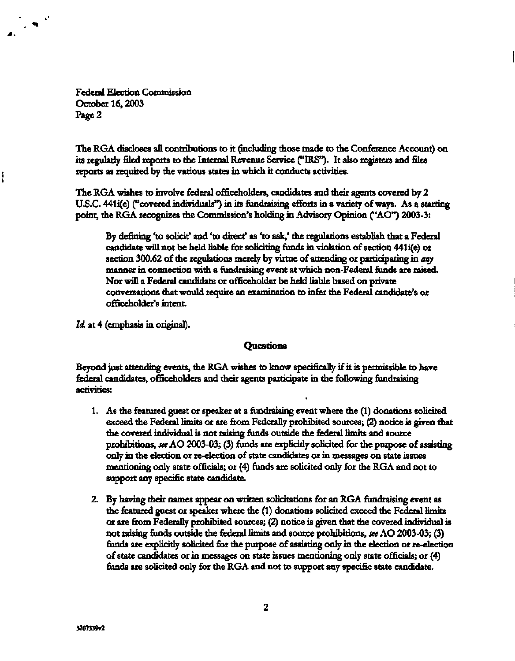Federal Election Commission October 16,2003 Page 2

 $\mathcal{L}(\mathbf{x})$ 

The RGA discloses all contributions to it (including those made to the Conference Account) on its regularly filed reports to the Internal Revenue Service ("IRS"). It also registers and files reports as required by the various states in which it conducts activities.

The RGA wishes to involve federal officeholders, candidates and their agents covered by 2 U.S.C. 441i(e) ("covered individuals") in its fundraising efforts in a variety of ways. As a starting point, the RGA recognizes the Commission's holding in Advisory Opinion ("AO") 2003-3:

By defining 'to solicit' and 'to direct' as 'to ask,' the regulations establish that a Federal candidate will not be held liable for soliciting funds in violation of section 441i(e) or section 300.62 of the regulations merely by virtue of attending or participating in *any*  manner in connection with a fundraising event at which non-Federal funds are raised. Nor will a Federal candidate or officeholder be held liable based on private conversations that would require an examination to infer the Federal candidate's or officeholder's intent.

*Id.* at 4 (emphasis in original).

### **Questions**

Beyond just attending events, the RGA wishes to know specifically if it is permissible to have federal candidates, officeholders and their agents participate in the following fundraising activities:

- 1. As the featured guest or speaker at a fundraising event where the (1) donations solicited exceed the Federal limits or are from Federally prohibited sources; (2) notice is given that the covered individual is not raising funds outside the federal limits and source prohibitions, *see AO* 2003-03; (3) funds are explicitly solicited for the purpose of assisting only in the election or re-election of state candidates or in messages on state issues mentioning only state officials; or (4) funds are solicited only for the RGA and not to support any specific state candidate.
- 2. By having their names appear on written solicitations for an RGA fundraising event as the featured guest or speaker where the (1) donations solicited exceed the Federal limits or are from Federally prohibited sources; (2) notice is given that the covered individual is not raising funds outside the federal limits and source prohibitions, *see* AO 2003-03; (3) funds are explicitly solicited for the purpose of assisting only in the election or re-election of state candidates or in messages on state issues mentioning only state officials; or (4) funds are solicited only for the RGA and not to support any specific state candidate.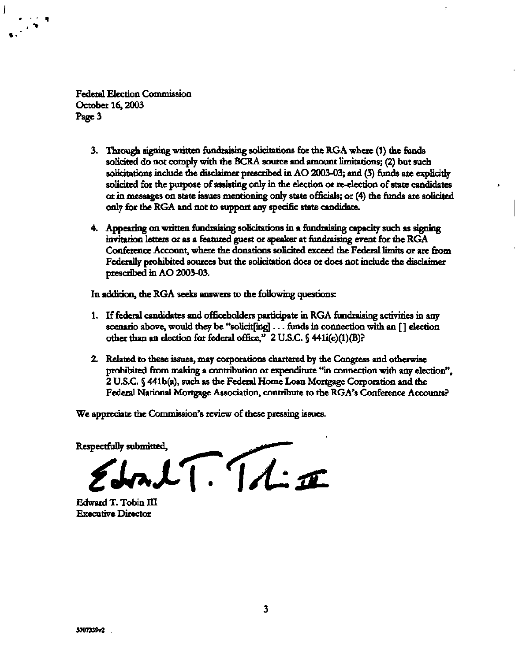Federal Election Commission October 16,2003 Page 3

I

- 3. Through signing written fundraising solicitations for the RGA where (1) the funds solicited do not comply with the BCRA source and amount limitations; (2) but such solicitations include the disclaimer prescribed in AO 2003-03; and (3) funds are explicitly solicited for the purpose of assisting only in the election or re-election of state candidates or in messages on state issues mentioning only state officials; or (4) the funds are solicited only for the RGA and not to support any specific state candidate.
- 4. Appearing on written fundraising solicitations in a fundraising capacity such as signing invitation letters or as a featured guest or speaker at fundraising event for the RGA Conference Account, where the donations solicited exceed the Federal limits or are from Federally prohibited sources but the solicitation does or does not include the disclaimer prescribed in AO 2003-03.

In addition, the RGA seeks answers to the following questions:

- 1. If federal candidates and officeholders participate in RGA fundraising activities in any scenario above, would they be "solicit[ing] .. . funds in connection with an [ ] election other than an election for federal office,"  $2 \text{ U.S.C.}$  § 441i(e)(1)(B)?
- 2. Related to these issues, may corporations chartered by the Congress and otherwise prohibited from making a contribution or expenditure "in connection with any election", 2 U.S.C. § 441 b(a), such as the Federal Home Loan Mortgage Corporation and the Federal National Mortgage Association, contribute to the RGA's Conference Accounts?

We appreciate the Commission's review of these pressing issues.

 $EdrLT.TLE$ 

Edward T. Tobin III Executive Director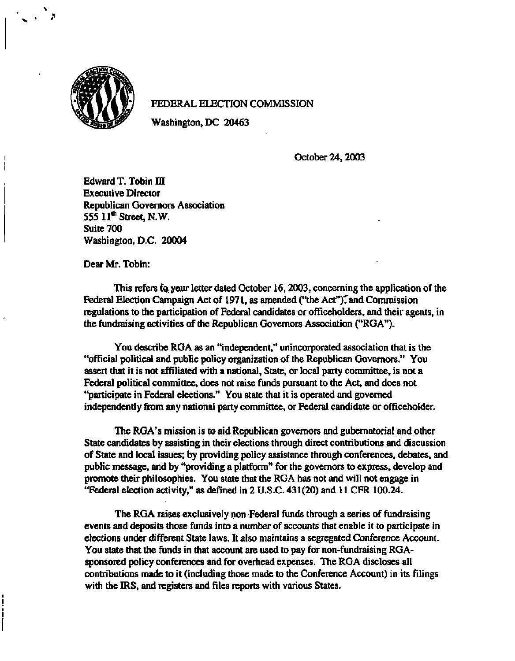

ł

# **FEDERAL ELECTION COMMISSION**

**Washington, DC 20463** 

**October 24, 2003** 

**Edward T. Tobin III Executive Director Republican Governors Association 555 11\* Street, N.W. Suite 700 Washington, D.C. 20004** 

**Dear Mr. Tobin:** 

**This refers fa. your letter dated October 16, 2003, concerning the application of the**  Federal Election Campaign Act of 1971, as amended ("the Act"), and Commission **regulations to the participation of Federal candidates or officeholders, and their agents, in the fundraising activities of the Republican Governors Association ("RGA").** 

**You describe RGA as an "independent," unincorporated association that is the "official political and public policy organization of the Republican Governors." You assert that it is not affiliated with a national, State, or local party committee, is not a Federal political committee, does not raise funds pursuant to the Act, and does not "participate in Federal elections." You state that it is operated and governed independently from any national party committee, or Federal candidate or officeholder.** 

**The RGA's mission is to aid Republican governors and gubernatorial and other State candidates by assisting in their elections through direct contributions and discussion of State and local issues; by providing policy assistance through conferences, debates, and public message, and by "providing a platform" for the governors to express, develop and promote their philosophies. You state that the RGA has not and will not engage in "Federal election activity," as defined in 2 U.S.C. 431(20) and 11 CFR 100.24.** 

**The RGA raises exclusively non-Federal funds through a series of fundraising events and deposits those funds into a number of accounts that enable it to participate in elections under different State laws. It also maintains a segregated Conference Account. You state that the funds in that account are used to pay for non-fundraising RGAsponsored policy conferences and for overhead expenses. The RGA discloses all contributions made to it (including those made to the Conference Account) in its filings with the IRS, and registers and files reports with various States.**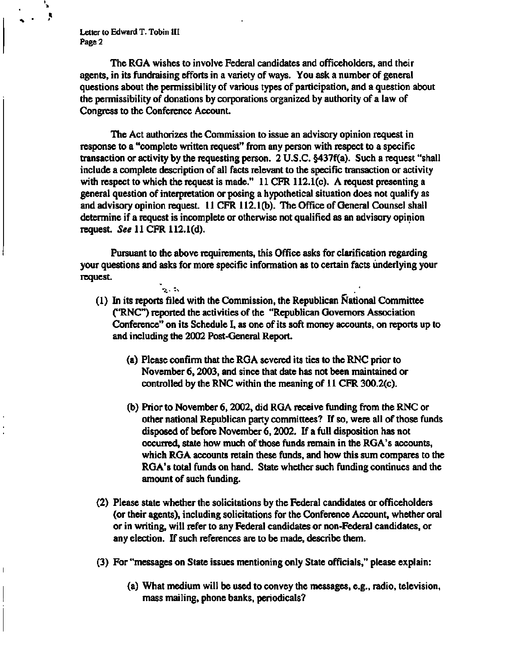**Letter to Edward T. Tobin III Page 2** 

.<br>જિ. જિ.

**The RGA wishes to involve Federal candidates and officeholders, and their agents, in its fundraising efforts in a variety of ways. You ask a number of general questions about the permissibility of various types of participation, and a question about the permissibility of donations by corporations organized by authority of a law of Congress to the Conference Account.** 

**The Act authorizes the Commission to issue an advisory opinion request in response to a "complete written request" from any person with respect to a specific transaction or activity by the requesting person. 2 U.S.C. §437f(a). Such a request "shall include a complete description of all facts relevant to the specific transaction or activity with respect to which the request is made." 11 CFR 112.1(c). A request presenting a general question of interpretation or posing a hypothetical situation does not qualify as and advisory opinion request. 11 CFR 112.1(b). The Office of General Counsel shall determine if a request is incomplete or otherwise not qualified as an advisory opinion request.** *See* **11 CFR 112.1 (d).** 

**Pursuant to the above requirements, this Office asks for clarification regarding your questions and asks for more specific information as to certain facts underlying your request.** 

- **(1) In its reports filed with the Commission, the Republican National Committee ("RNC") reported the activities of the "Republican Governors Association Conference" on its Schedule I, as one of its soft money accounts, on reports up to and including the 2002 Post-General Report.** 
	- **(a) Please confirm that the RGA severed its ties to the RNC prior to November 6,2003, and since that date has not been maintained or controlled by the RNC within the meaning of 11 CFR 300.2(c).**
	- **(b) Prior to November 6,2002, did RGA receive funding from the RNC or other national Republican party committees? If so, were all of those funds disposed of before November 6,2002. If a full disposition has not occurred, state how much of those funds remain in the RGA's accounts, which RGA accounts retain these funds, and how this sum compares to the RGA's total funds on hand. State whether such funding continues and the amount of such funding.**
- **(2) Please state whether the solicitations by the Federal candidates or officeholders (or their agents), including solicitations for the Conference Account, whether oral or in writing, will refer to any Federal candidates or non-Federal candidates, or any election. If such references are to be made, describe them.**
- **(3) For "messages on State issues mentioning only State officials," please explain:** 
	- **(a) What medium will be used to convey the messages, e.g., radio, television, mass mailing, phone banks, periodicals?**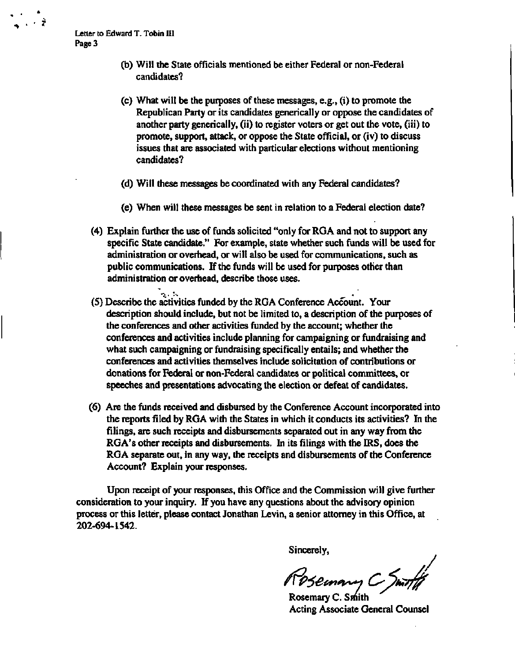- **(b) Will the State officials mentioned be either Federal or non-Federal candidates?**
- **(c) What will be the purposes of these messages, e.g., (i) to promote the Republican Party or its candidates generically or oppose the candidates of another party generically, (ii) to register voters or get out the vote, (iii) to promote, support, attack, or oppose the State official, or (iv) to discuss issues that are associated with particular elections without mentioning candidates?**
- **(d) Will these messages be coordinated with any Federal candidates?**
- **(e) When will these messages be sent in relation to a Federal election date?**
- **(4) Explain further the use of funds solicited "only for RGA and not to support any specific State candidate." For example, state whether such funds will be used for administration or overhead, or will also be used for communications, such as public communications. If the funds will be used for purposes other than administration or overhead, describe those uses.**
- **(5) Describe the activities funded by the RGA Conference Account. Your description should include, but not be limited to, a description of the purposes of the conferences and other activities funded by the account; whether the conferences and activities include planning for campaigning or fundraising and what such campaigning or fundraising specifically entails; and whether the conferences and activities themselves include solicitation of contributions or donations for Federal or non-Federal candidates or political committees, or speeches and presentations advocating the election or defeat of candidates.**
- **(6) Are the funds received and disbursed by the Conference Account incorporated into the reports filed by RGA with the States in which it conducts its activities? In the filings, are such receipts and disbursements separated out in any way from the RGA's other receipts and disbursements. In its filings with the IRS, does the RGA separate out, in any way, the receipts and disbursements of the Conference Account? Explain your responses.**

**Upon receipt of your responses, this Office and the Commission will give further consideration to your inquiry. If you have any questions about the advisory opinion process or this letter, please contact Jonathan Levin, a senior attorney in this Office, at 202-694-1542.** 

**Sincerely,** 

Rosemary C Smith

**Acting Associate General Counsel**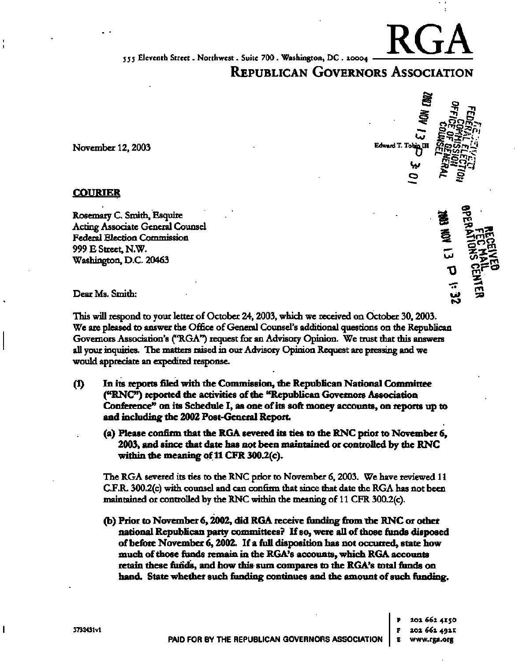**555 Eleventh Street. Northwest. Suite 700 . Washington, DC . 20004** 

# **REPUBLICAN GOVERNORS ASSOCIATION**

#### **COURIER**

Rosemary C. Smith, Esquire Acting Associate General Counsel Federal Election Commission 999 E Street, N.W. Washington, D.C. 20463 ^ ^ *Z&* 

November 12, 2003 **Edward T. Tohin III** 

RGA



This will respond to your letter of October 24,2003, which we received on October 30,2003. We are pleased to answer the Office of General Counsel's additional questions on the Republican Governors Association's ("RGA") request for an Advisory Opinion. We trust that this answers all your inquiries. The matters raised in our Advisory Opinion Request are pressing and we would appreciate an expedited response.

- **(1) In its reports filed with the Commission, the Republican National Committee ("RNC") reported the activities of the "Republican Governors Association Conference" on its Schedule I, as one of its soft money accounts, on reports up to and including the 2002 Post-General Report.** 
	- **(a) Please confirm that the RGA severed its ties to the RNC prior to November 6, 2003, and since that date has not been maintained or controlled by the RNC within the meaning of 11 CFR 300.2(c).**

The RGA severed its ties to the RNC prior to November 6,2003. We have reviewed 11 C.F.R. 300.2(c) with counsel and can confirm that since that date the RGA has not been maintained or controlled by the RNC within the meaning of 11 CFR 300.2(c).

**(b) Prior to November 6,2002, did RGA receive funding from the RNC or other national Republican party committees? If so, were all of those funds disposed of before November 6,2002. If a full disposition has not occurred, state how much of those funds remain in the RGA's accounts, which RGA accounts retain these funds, and how this sum compares to the RGA's total funds on hand. State whether such funding continues and the amount of such funding.** 

> **PAID FOR BY THE REPUBLICAN GOVERNORS ASSOCIATION p Z02 662 415 0 F 202 662 4921 E [www.rga.org](http://www.rga.org)**

 $\mathbf{I}$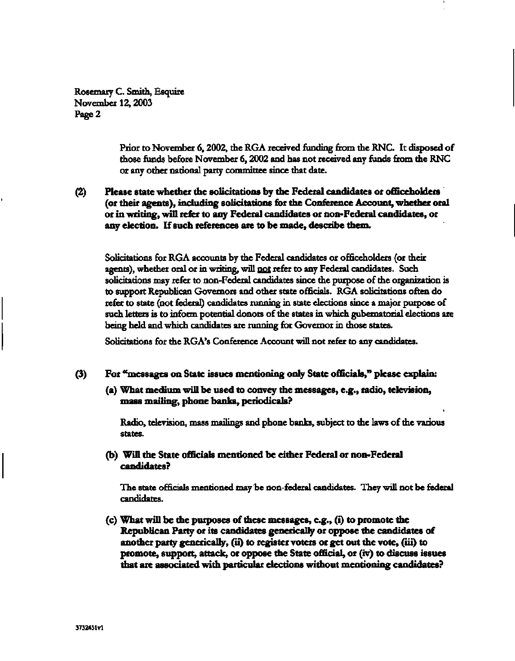Rosemary C. Smith, Esquire November 12,2003 Page 2

> Prior to November 6,2002, the RGA received funding from the RNC. It disposed of those funds before November 6,2002 and has not received any funds from the RNC or any other national party committee since that date.

**(2) Please state whether the solicitations by the Federal candidates or officeholders (or their agents), including solicitations for the Conference Account, whether oral or in writing, will refer to any Federal candidates or non-Federal candidates, or any election. If such references are to be made, describe them.** 

Solicitations for RGA accounts by the Federal candidates or officeholders (or their agents), whether oral or in writing, will not refer to any Federal candidates. Such solicitations may refer to non-Federal candidates since the purpose of the organization is to support Republican Governors and other state officials. RGA solicitations often do refer to state (not federal) candidates running in state elections since a major purpose of such letters is to inform potential donors of the states in which gubernatorial elections are being held and which candidates are running for Governor in those states.

Solicitations for the RGA's Conference Account will not refer to any candidates.

## **(3) For "messages on State issues mentioning only State officials," please explain:**

**(a) What medium will be used to convey the messages, e.g., radio, television, mass mailing, phone banks, periodicals?** 

Radio, television, mass mailings and phone banks, subject to the laws of the various states.

**(b) Will the State officials mentioned be either Federal or non-Federal candidates?** 

The state officials mentioned may be non-federal candidates. They will not be federal candidates.

(c) **What will be the purposes of these messages, e.g., (i) to promote the Republican Party or its candidates generically or oppose the candidates of another party generically, (ii) to register voters or get out the vote, (iii) to promote, support, attack, or oppose the State official, or (iv) to discuss issues that are associated with particular elections without mentioning candidates?**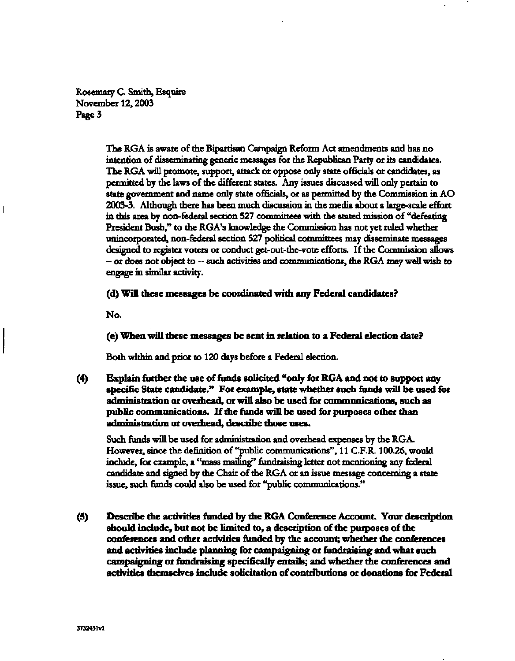Rosemary C. Smith, Esquire November 12,2003 Page 3

> The RGA is aware of the Bipartisan Campaign Reform Act amendments and has no intention of disseminating generic messages for the Republican Party or its candidates. The RGA will promote, support, attack or oppose only state officials or candidates, as permitted by the laws of the different states. Any issues discussed will only pertain to state government and name only state officials, or as permitted by the Commission in AO 2003-3. Although there has been much discussion in the media about a large-scale effort in this area by non-federal section 527 committees with the stated mission of "defeating President Bush," to the RGA's knowledge the Commission has not yet ruled whether unincorporated, non-federal section 527 political committees may disseminate messages designed to register voters or conduct get-out-the-vote efforts. If the Commission allows - or does not object to ~ such activities and communications, the RGA may well wish to engage in similar activity.

**(d) Will these messages be coordinated with any Federal candidates?** 

**No.** 

**(e) When will these messages be sent in relation to a Federal election date?** 

Both within and prior to 120 days before a Federal election.

**(4) Explain further the use of funds solicited "only for RGA and not to support any specific State candidate." For example, state whether such funds will be used for administration or overhead, or will also be used for communications, such as public communications. If the funds will be used for purposes other than administration or overhead, describe those uses.** 

Such funds will be used for administration and overhead expenses by the RGA. However, since the definition of "public communications", 11 C.F.R. 100.26, would include, for example, a "mass mailing" fundraising letter not mentioning any federal candidate and signed by the Chair of the RGA or an issue message concerning a state issue, such funds could also be used for "public communications."

**(5) Describe the activities funded by the RGA Conference Account. Your description should include, but not be limited to, a description of the purposes of the conferences and other activities funded by the account; whether the conferences and activities include planning for campaigning or fundraising and what such campaigning or fundraising specifically entails; and whether the conferences and activities themselves include solicitation of contributions or donations for Federal**